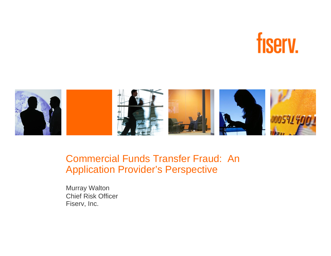



#### Commercial Funds Transfer Fraud: An Application Provider's Perspective

Murray Walton Chief Risk OfficerFiserv, Inc.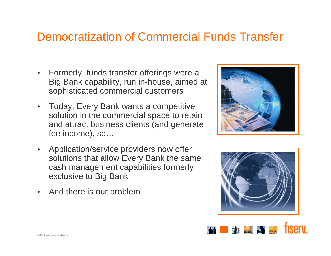#### Democratization of Commercial Funds Transfer

- • Formerly, funds transfer offerings were a Big Bank capability, run in-house, aimed at sophisticated commercial customers
- • Today, Every Bank wants a competitive solution in the commercial space to retain and attract business clients (and generate fee income), so…
- • Application/service providers now offer solutions that allow Every Bank the same cash management capabilities formerly exclusive to Big Bank
- •And there is our problem…





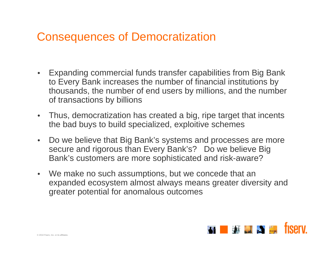#### Consequences of Democratization

- Expanding commercial funds transfer capabilities from Big Bank to Every Bank increases the number of financial institutions by thousands, the number of end users by millions, and the number of transactions by billions
- Thus, democratization has created a big, ripe target that incents the bad buys to build specialized, exploitive schemes
- Do we believe that Big Bank's systems and processes are more secure and rigorous than Every Bank's? Do we believe Big Bank's customers are more sophisticated and risk-aware?
- We make no such assumptions, but we concede that an expanded ecosystem almost always means greater diversity and greater potential for anomalous outcomes

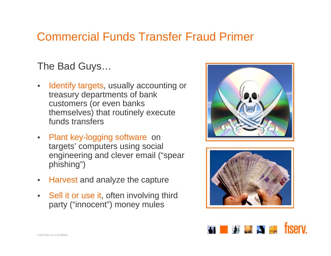# Commercial Funds Transfer Fraud Primer

The Bad Guys…

- •Identify targets, usually accounting or treasury departments of bank customers (or even banks themselves) that routinely execute funds transfers
- Plant key-logging software on targets' computers using social engineering and clever email ("spear phishing")
- $\bullet$ Harvest and analyze the capture
- •Sell it or use it, often involving third party ("innocent") money mules





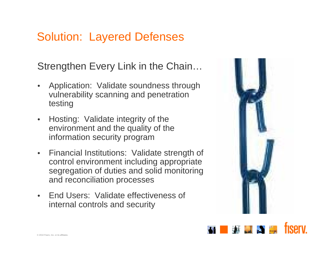Strengthen Every Link in the Chain…

- • Application: Validate soundness through vulnerability scanning and penetration testing
- $\bullet$  Hosting: Validate integrity of the environment and the quality of the information security program
- Financial Institutions: Validate strength of control environment including appropriate segregation of duties and solid monitoring and reconciliation processes
- $\bullet$  End Users: Validate effectiveness of internal controls and security



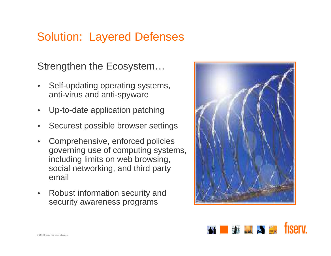Strengthen the Ecosystem…

- • Self-updating operating systems, anti-virus and anti-spyware
- $\bullet$ Up-to-date application patching
- •Securest possible browser settings
- • Comprehensive, enforced policies governing use of computing systems, including limits on web browsing, social networking, and third party email
- • Robust information security and security awareness programs



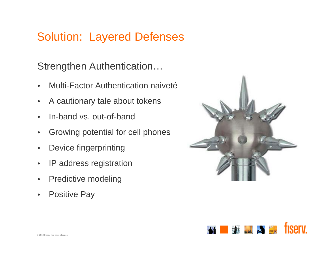Strengthen Authentication…

- •Multi-Factor Authentication naiveté
- •A cautionary tale about tokens
- •In-band vs. out-of-band
- •Growing potential for cell phones
- •Device fingerprinting
- •IP address registration
- •Predictive modeling
- •Positive Pay



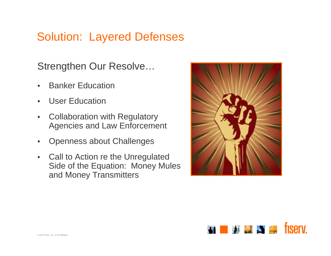Strengthen Our Resolve…

- •Banker Education
- •User Education
- • Collaboration with Regulatory Agencies and Law Enforcement
- •Openness about Challenges
- • Call to Action re the Unregulated Side of the Equation: Money Mules and Money Transmitters